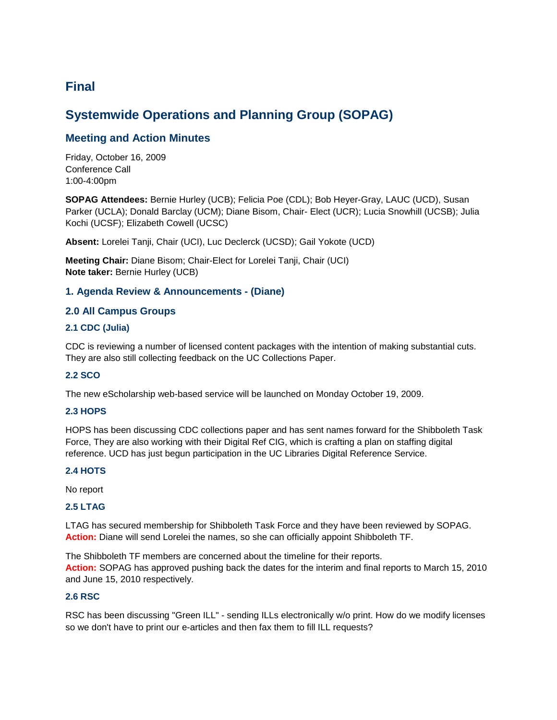# **Final**

# **Systemwide Operations and Planning Group (SOPAG)**

# **Meeting and Action Minutes**

Friday, October 16, 2009 Conference Call 1:00-4:00pm

**SOPAG Attendees:** Bernie Hurley (UCB); Felicia Poe (CDL); Bob Heyer-Gray, LAUC (UCD), Susan Parker (UCLA); Donald Barclay (UCM); Diane Bisom, Chair- Elect (UCR); Lucia Snowhill (UCSB); Julia Kochi (UCSF); Elizabeth Cowell (UCSC)

**Absent:** Lorelei Tanji, Chair (UCI), Luc Declerck (UCSD); Gail Yokote (UCD)

**Meeting Chair:** Diane Bisom; Chair-Elect for Lorelei Tanji, Chair (UCI) **Note taker:** Bernie Hurley (UCB)

# **1. Agenda Review & Announcements - (Diane)**

# **2.0 All Campus Groups**

# **2.1 CDC (Julia)**

CDC is reviewing a number of licensed content packages with the intention of making substantial cuts. They are also still collecting feedback on the UC Collections Paper.

# **2.2 SCO**

The new eScholarship web-based service will be launched on Monday October 19, 2009.

# **2.3 HOPS**

HOPS has been discussing CDC collections paper and has sent names forward for the Shibboleth Task Force, They are also working with their Digital Ref CIG, which is crafting a plan on staffing digital reference. UCD has just begun participation in the UC Libraries Digital Reference Service.

#### **2.4 HOTS**

No report

#### **2.5 LTAG**

LTAG has secured membership for Shibboleth Task Force and they have been reviewed by SOPAG. **Action:** Diane will send Lorelei the names, so she can officially appoint Shibboleth TF.

The Shibboleth TF members are concerned about the timeline for their reports. **Action:** SOPAG has approved pushing back the dates for the interim and final reports to March 15, 2010 and June 15, 2010 respectively.

#### **2.6 RSC**

RSC has been discussing "Green ILL" - sending ILLs electronically w/o print. How do we modify licenses so we don't have to print our e-articles and then fax them to fill ILL requests?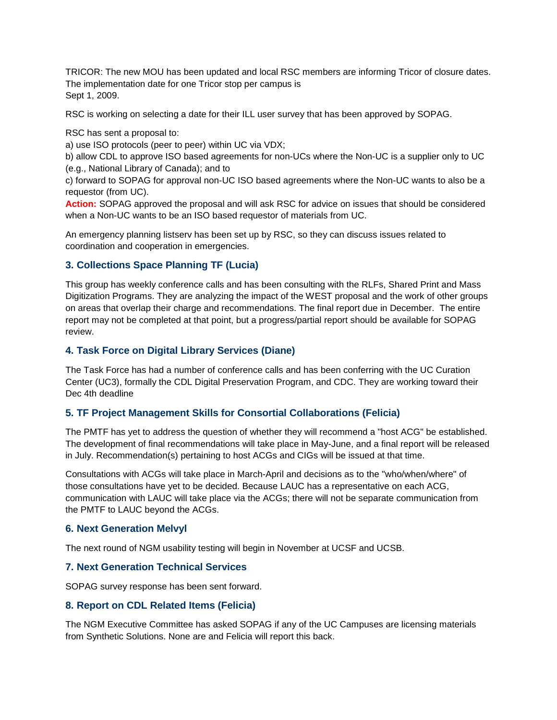TRICOR: The new MOU has been updated and local RSC members are informing Tricor of closure dates. The implementation date for one Tricor stop per campus is Sept 1, 2009.

RSC is working on selecting a date for their ILL user survey that has been approved by SOPAG.

RSC has sent a proposal to:

a) use ISO protocols (peer to peer) within UC via VDX;

b) allow CDL to approve ISO based agreements for non-UCs where the Non-UC is a supplier only to UC (e.g., National Library of Canada); and to

c) forward to SOPAG for approval non-UC ISO based agreements where the Non-UC wants to also be a requestor (from UC).

**Action:** SOPAG approved the proposal and will ask RSC for advice on issues that should be considered when a Non-UC wants to be an ISO based requestor of materials from UC.

An emergency planning listserv has been set up by RSC, so they can discuss issues related to coordination and cooperation in emergencies.

# **3. Collections Space Planning TF (Lucia)**

This group has weekly conference calls and has been consulting with the RLFs, Shared Print and Mass Digitization Programs. They are analyzing the impact of the WEST proposal and the work of other groups on areas that overlap their charge and recommendations. The final report due in December. The entire report may not be completed at that point, but a progress/partial report should be available for SOPAG review.

# **4. Task Force on Digital Library Services (Diane)**

The Task Force has had a number of conference calls and has been conferring with the UC Curation Center (UC3), formally the CDL Digital Preservation Program, and CDC. They are working toward their Dec 4th deadline

# **5. TF Project Management Skills for Consortial Collaborations (Felicia)**

The PMTF has yet to address the question of whether they will recommend a "host ACG" be established. The development of final recommendations will take place in May-June, and a final report will be released in July. Recommendation(s) pertaining to host ACGs and CIGs will be issued at that time.

Consultations with ACGs will take place in March-April and decisions as to the "who/when/where" of those consultations have yet to be decided. Because LAUC has a representative on each ACG, communication with LAUC will take place via the ACGs; there will not be separate communication from the PMTF to LAUC beyond the ACGs.

# **6. Next Generation Melvyl**

The next round of NGM usability testing will begin in November at UCSF and UCSB.

# **7. Next Generation Technical Services**

SOPAG survey response has been sent forward.

# **8. Report on CDL Related Items (Felicia)**

The NGM Executive Committee has asked SOPAG if any of the UC Campuses are licensing materials from Synthetic Solutions. None are and Felicia will report this back.